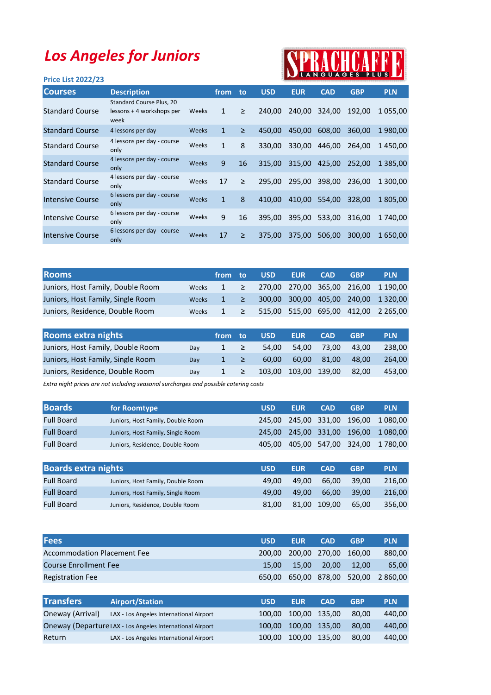## Los Angeles for Juniors

## tu's

| IN LANGUAGES PLUS LA<br><b>Price List 2022/23</b> |                                                               |              |              |        |            |            |            |            |               |
|---------------------------------------------------|---------------------------------------------------------------|--------------|--------------|--------|------------|------------|------------|------------|---------------|
| <b>Courses</b>                                    | <b>Description</b>                                            |              | from         | to     | <b>USD</b> | <b>EUR</b> | <b>CAD</b> | <b>GBP</b> | <b>PLN</b>    |
| <b>Standard Course</b>                            | Standard Course Plus, 20<br>lessons + 4 workshops per<br>week | Weeks        | 1            | ≥      | 240.00     | 240.00     | 324.00     | 192.00     | 1055.00       |
| <b>Standard Course</b>                            | 4 lessons per day                                             | <b>Weeks</b> | 1            | $\geq$ | 450.00     | 450,00     | 608,00     | 360,00     | 1980,00       |
| <b>Standard Course</b>                            | 4 lessons per day - course<br>only                            | Weeks        | 1            | 8      | 330,00     | 330,00     | 446,00     | 264.00     | 1450,00       |
| <b>Standard Course</b>                            | 4 lessons per day - course<br>only                            | Weeks        | 9            | 16     | 315.00     | 315,00     | 425,00     | 252.00     | 1 3 8 5 , 0 0 |
| <b>Standard Course</b>                            | 4 lessons per day - course<br>only                            | Weeks        | 17           | $\geq$ | 295.00     | 295,00     | 398,00     | 236,00     | 1 300,00      |
| <b>Intensive Course</b>                           | 6 lessons per day - course<br>only                            | Weeks        | $\mathbf{1}$ | 8      | 410.00     | 410,00     | 554,00     | 328.00     | 1805.00       |
| <b>Intensive Course</b>                           | 6 lessons per day - course<br>only                            | Weeks        | 9            | 16     | 395.00     | 395,00     | 533,00     | 316.00     | 1 740.00      |
| <b>Intensive Course</b>                           | 6 lessons per day - course<br>only                            | Weeks        | 17           | ≥      | 375.00     | 375,00     | 506,00     | 300.00     | 1650,00       |
|                                                   |                                                               |              |              |        |            |            |            |            |               |

| <b>Rooms</b>                      |       | from to                                                                | <b>USD</b> | <b>EUR</b> | <b>CAD</b> | <b>GBP</b> | <b>PLN</b>                                                      |
|-----------------------------------|-------|------------------------------------------------------------------------|------------|------------|------------|------------|-----------------------------------------------------------------|
| Juniors, Host Family, Double Room | Weeks |                                                                        |            |            |            |            | $1 \geq 270,00$ 270,00 365,00 216,00 1 190,00                   |
| Juniors, Host Family, Single Room | Weeks | $\begin{array}{ccccccc} \vert & 1 & \vert & \vert & \vert \end{array}$ |            |            |            |            | 300,00 300,00 405,00 240,00 1320,00                             |
| Juniors, Residence, Double Room   | Weeks |                                                                        |            |            |            |            | $1 \geq 515,00 \leq 515,00 \leq 695,00 \leq 412,00 \leq 265,00$ |

| Rooms extra nights                |     | from to      |               | <b>USD</b> | <b>EUR</b>    | <b>CAD</b> | <b>GBP</b> | <b>PLN</b> |
|-----------------------------------|-----|--------------|---------------|------------|---------------|------------|------------|------------|
| Juniors, Host Family, Double Room | Dav | $1 \geq$     |               | 54.00      | 54.00         | 73.00      | 43.00      | 238.00     |
| Juniors, Host Family, Single Room | Dav | $1 \geq$     |               | 60.00      | 60.00         | 81.00      | 48.00      | 264.00     |
| Juniors, Residence, Double Room   | Dav | $\mathbf{1}$ | $\rightarrow$ | 103.00     | 103,00 139,00 |            | 82.00      | 453.00     |

Extra night prices are not including seasonal surcharges and possible catering costs

| <b>Boards</b>     | for Roomtype                      | <b>USD</b> | <b>EUR</b> | <b>CAD</b> | <b>GBP</b> | <b>PLN</b>                           |
|-------------------|-----------------------------------|------------|------------|------------|------------|--------------------------------------|
| <b>Full Board</b> | Juniors, Host Family, Double Room |            |            |            |            | 245,00 245,00 331,00 196,00 1 080,00 |
| <b>Full Board</b> | Juniors, Host Family, Single Room |            |            |            |            | 245,00 245,00 331,00 196,00 1080,00  |
| <b>Full Board</b> | Juniors, Residence, Double Room   | 405.00     |            |            |            | 405,00 547,00 324,00 1780,00         |

| <b>Boards extra nights</b> |                                   | <b>USD</b> | <b>EUR</b> | <b>CAD</b> | <b>GBP</b> | <b>PLN</b> |
|----------------------------|-----------------------------------|------------|------------|------------|------------|------------|
| <b>Full Board</b>          | Juniors, Host Family, Double Room | 49.00      | 49.00      | 66.00      | 39.00      | 216.00     |
| <b>Full Board</b>          | Juniors, Host Family, Single Room | 49.00      | 49.00      | 66.00      | 39.00      | 216.00     |
| <b>Full Board</b>          | Juniors, Residence, Double Room   | 81.00      | 81.00      | 109.00     | 65.00      | 356,00     |

|                                         | <b>USD</b>                                                                                                        | <b>EUR</b> | <b>CAD</b> | <b>GBP</b> | <b>PLN</b> |
|-----------------------------------------|-------------------------------------------------------------------------------------------------------------------|------------|------------|------------|------------|
|                                         | 200.00                                                                                                            | 200,00     | 270.00     | 160,00     | 880,00     |
|                                         | 15,00                                                                                                             | 15,00      | 20.00      | 12,00      | 65,00      |
|                                         | 650.00                                                                                                            | 650,00     | 878,00     | 520.00     | 2 860,00   |
|                                         |                                                                                                                   |            |            |            |            |
| <b>Airport/Station</b>                  | <b>USD</b>                                                                                                        | <b>EUR</b> | <b>CAD</b> | <b>GBP</b> | <b>PLN</b> |
| LAX - Los Angeles International Airport | 100.00                                                                                                            | 100.00     | 135.00     | 80,00      | 440,00     |
|                                         | 100.00                                                                                                            | 100,00     | 135,00     | 80,00      | 440,00     |
| LAX - Los Angeles International Airport | 100.00                                                                                                            | 100,00     | 135,00     | 80,00      | 440,00     |
|                                         | Accommodation Placement Fee<br>Course Enrollment Fee<br>Oneway (Departure LAX - Los Angeles International Airport |            |            |            |            |